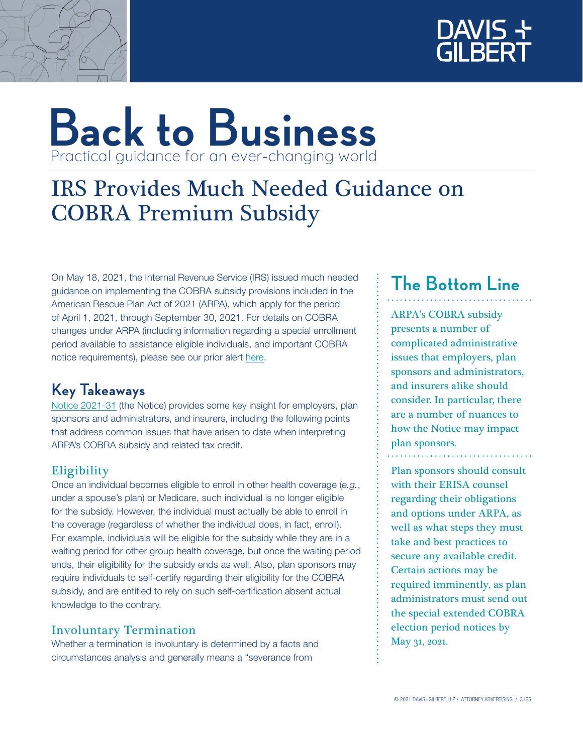



# **Back to Business** Practical guidance for an ever-changing world

## IRS Provides Much Needed Guidance on COBRA Premium Subsidy

On May 18, 2021, the Internal Revenue Service (IRS) issued much needed guidance on implementing the COBRA subsidy provisions included in the American Rescue Plan Act of 2021 (ARPA), which apply for the period of April 1, 2021, through September 30, 2021. For details on COBRA changes under ARPA (including information regarding a special enrollment period available to assistance eligible individuals, and important COBRA notice requirements), please see our prior alert [here](https://www.dglaw.com/press-alert-details.cfm?id=1182).

### **Key Takeaways**

[Notice 2021-31](https://www.irs.gov/pub/irs-drop/n-21-31.pdf) (the Notice) provides some key insight for employers, plan sponsors and administrators, and insurers, including the following points that address common issues that have arisen to date when interpreting ARPA's COBRA subsidy and related tax credit.

#### **Eligibility**

Once an individual becomes eligible to enroll in other health coverage (*e.g.*, under a spouse's plan) or Medicare, such individual is no longer eligible for the subsidy. However, the individual must actually be able to enroll in the coverage (regardless of whether the individual does, in fact, enroll). For example, individuals will be eligible for the subsidy while they are in a waiting period for other group health coverage, but once the waiting period ends, their eligibility for the subsidy ends as well. Also, plan sponsors may require individuals to self-certify regarding their eligibility for the COBRA subsidy, and are entitled to rely on such self-certification absent actual knowledge to the contrary.

#### Involuntary Termination

Whether a termination is involuntary is determined by a facts and circumstances analysis and generally means a "severance from

## **The Bottom Line**

ARPA's COBRA subsidy presents a number of complicated administrative issues that employers, plan sponsors and administrators, and insurers alike should consider. In particular, there are a number of nuances to how the Notice may impact plan sponsors.

Plan sponsors should consult with their ERISA counsel regarding their obligations and options under ARPA, as well as what steps they must take and best practices to secure any available credit. Certain actions may be required imminently, as plan administrators must send out the special extended COBRA election period notices by May 31, 2021.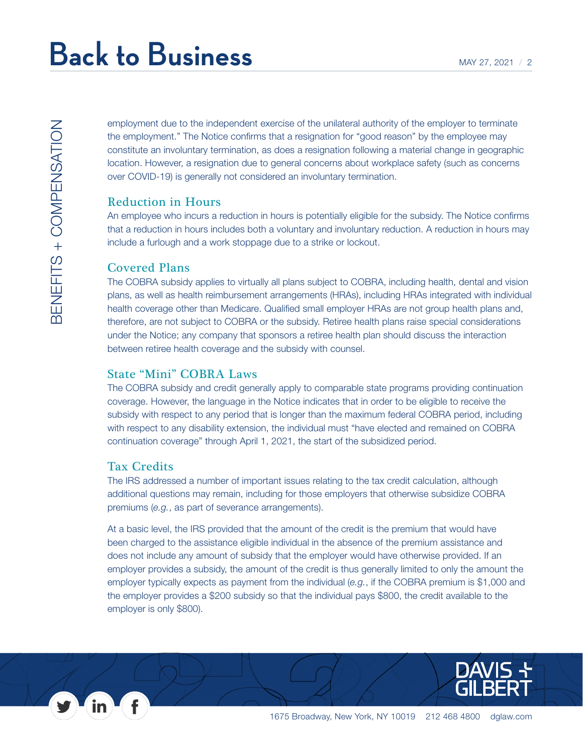employment due to the independent exercise of the unilateral authority of the employer to terminate the employment." The Notice confirms that a resignation for "good reason" by the employee may constitute an involuntary termination, as does a resignation following a material change in geographic location. However, a resignation due to general concerns about workplace safety (such as concerns over COVID-19) is generally not considered an involuntary termination.

#### Reduction in Hours

An employee who incurs a reduction in hours is potentially eligible for the subsidy. The Notice confirms that a reduction in hours includes both a voluntary and involuntary reduction. A reduction in hours may include a furlough and a work stoppage due to a strike or lockout.

#### Covered Plans

The COBRA subsidy applies to virtually all plans subject to COBRA, including health, dental and vision plans, as well as health reimbursement arrangements (HRAs), including HRAs integrated with individual health coverage other than Medicare. Qualified small employer HRAs are not group health plans and, therefore, are not subject to COBRA or the subsidy. Retiree health plans raise special considerations under the Notice; any company that sponsors a retiree health plan should discuss the interaction between retiree health coverage and the subsidy with counsel.

#### State "Mini" COBRA Laws

The COBRA subsidy and credit generally apply to comparable state programs providing continuation coverage. However, the language in the Notice indicates that in order to be eligible to receive the subsidy with respect to any period that is longer than the maximum federal COBRA period, including with respect to any disability extension, the individual must "have elected and remained on COBRA continuation coverage" through April 1, 2021, the start of the subsidized period.

#### Tax Credits

The IRS addressed a number of important issues relating to the tax credit calculation, although additional questions may remain, including for those employers that otherwise subsidize COBRA premiums (*e.g.*, as part of severance arrangements).

At a basic level, the IRS provided that the amount of the credit is the premium that would have been charged to the assistance eligible individual in the absence of the premium assistance and does not include any amount of subsidy that the employer would have otherwise provided. If an employer provides a subsidy, the amount of the credit is thus generally limited to only the amount the employer typically expects as payment from the individual (*e.g.*, if the COBRA premium is \$1,000 and the employer provides a \$200 subsidy so that the individual pays \$800, the credit available to the employer is only \$800).